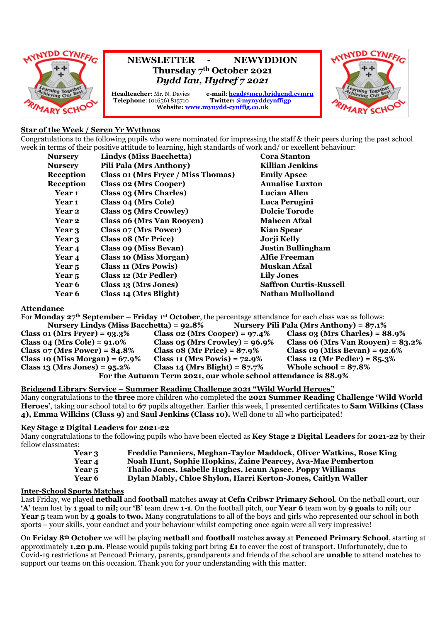

# **NEWSLETTER - NEWYDDION Thursday 7th October 2021** *Dydd Iau, Hydref 7 2021*

**Headteacher:** Mr. N. Davies <br> **e-mail:** <u>**[head@mcp.bridgend.cymru](mailto:head@mcp.bridgend.cymru)**<br> **Telephone:** (01656) 815710 <br> **Twitter:** @mynyddcynffigp</u> **Twitter:** @mynyddcynffigp **Website: www.mynydd-cynffig.co.uk**



# **Star of the Week / Seren Yr Wythnos**

Congratulations to the following pupils who were nominated for impressing the staff & their peers during the past school week in terms of their positive attitude to learning, high standards of work and/ or excellent behaviour:

| <b>Nursery</b>   | <b>Lindys (Miss Bacchetta)</b>     | <b>Cora Stanton</b>           |
|------------------|------------------------------------|-------------------------------|
| <b>Nursery</b>   | <b>Pili Pala (Mrs Anthony)</b>     | Killian Jenkins               |
| <b>Reception</b> | Class 01 (Mrs Fryer / Miss Thomas) | <b>Emily Apsee</b>            |
| <b>Reception</b> | <b>Class 02 (Mrs Cooper)</b>       | <b>Annalise Luxton</b>        |
| Year 1           | Class 03 (Mrs Charles)             | <b>Lucian Allen</b>           |
| Year 1           | <b>Class 04 (Mrs Cole)</b>         | Luca Perugini                 |
| Year 2           | Class 05 (Mrs Crowley)             | <b>Dolcie Torode</b>          |
| Year 2           | <b>Class 06 (Mrs Van Rooyen)</b>   | <b>Maheen Afzal</b>           |
| Year 3           | Class 07 (Mrs Power)               | <b>Kian Spear</b>             |
| Year 3           | Class 08 (Mr Price)                | Jorji Kelly                   |
| Year 4           | Class 09 (Miss Bevan)              | <b>Justin Bullingham</b>      |
| Year 4           | <b>Class 10 (Miss Morgan)</b>      | <b>Alfie Freeman</b>          |
| Year 5           | <b>Class 11 (Mrs Powis)</b>        | <b>Muskan Afzal</b>           |
| Year 5           | Class 12 (Mr Pedler)               | <b>Lily Jones</b>             |
| <b>Year 6</b>    | Class 13 (Mrs Jones)               | <b>Saffron Curtis-Russell</b> |
| Year 6           | Class 14 (Mrs Blight)              | <b>Nathan Mulholland</b>      |

#### **Attendance**

For **Monday 27th September – Friday 1 st October**, the percentage attendance for each class was as follows: **Nursery Lindys (Miss Bacchetta) = 92.8% CONSERVERSITY PILE PAIR (Mrs Anthony) = 87.1%** 

| Class 01 (Mrs Fryer) = $93.3\%$                                | Class 02 (Mrs Cooper) = $97.4\%$       | Class $0.3$ (Mrs Charles) = $88.9\%$   |  |  |
|----------------------------------------------------------------|----------------------------------------|----------------------------------------|--|--|
| $Class 04 (Mrs Cole) = 91.0\%$                                 | Class $05$ (Mrs Crowley) = $96.9\%$    | Class $06$ (Mrs Van Rooyen) = $83.2\%$ |  |  |
| Class $\sigma$ 7 (Mrs Power) = 84.8%                           | <b>Class 08 (Mr Price) = 87.9%</b>     | Class $09$ (Miss Bevan) = $92.6\%$     |  |  |
| Class 10 (Miss Morgan) = $67.9\%$                              | <b>Class 11 (Mrs Powis)</b> = $72.9\%$ | Class 12 (Mr Pedler) = $85.3\%$        |  |  |
| $Class 13 (Mrs Jones) = 95.2%$                                 | Class 14 (Mrs Blight) = $87.7\%$       | Whole school = $87.8\%$                |  |  |
| For the Autumn Term 2021, our whole school attendance is 88.9% |                                        |                                        |  |  |

# **Bridgend Library Service – Summer Reading Challenge 2021 "Wild World Heroes"**

Many congratulations to the **three** more children who completed the **2021 Summer Reading Challenge 'Wild World Heroes'**, taking our school total to **67** pupils altogether. Earlier this week, I presented certificates to **Sam Wilkins (Class 4), Emma Wilkins (Class 9)** and **Saul Jenkins (Class 10).** Well done to all who participated!

#### **Key Stage 2 Digital Leaders for 2021-22**

Many congratulations to the following pupils who have been elected as **Key Stage 2 Digital Leaders** for **2021-22** by their fellow classmates:

- **Year 3 Freddie Panniers, Meghan-Taylor Maddock, Oliver Watkins, Rose King**
- **Year 4 Noah Hunt, Sophie Hopkins, Zaine Pearcey, Ava-Mae Pemberton**
- **Year 5 Thailo Jones, Isabelle Hughes, Ieaun Apsee, Poppy Williams**
- **Year 6 Dylan Mably, Chloe Shylon, Harri Kerton-Jones, Caitlyn Waller**

#### **Inter-School Sports Matches**

Last Friday, we played **netball** and **football** matches **away** at **Cefn Cribwr Primary School**. On the netball court, our **'A'** team lost by **1 goal** to **nil;** our **'B'** team drew **1-1**. On the football pitch, our **Year 6** team won by **9 goals** to **nil;** our **Year 5** team won by **4 goals** to **two.** Many congratulations to all of the boys and girls who represented our school in both sports – your skills, your conduct and your behaviour whilst competing once again were all very impressive!

On **Friday 8th October** we will be playing **netball** and **football** matches **away** at **Pencoed Primary School**, starting at approximately **1.20 p.m**. Please would pupils taking part bring **£1** to cover the cost of transport. Unfortunately, due to Covid-19 restrictions at Pencoed Primary, parents, grandparents and friends of the school are **unable** to attend matches to support our teams on this occasion. Thank you for your understanding with this matter.